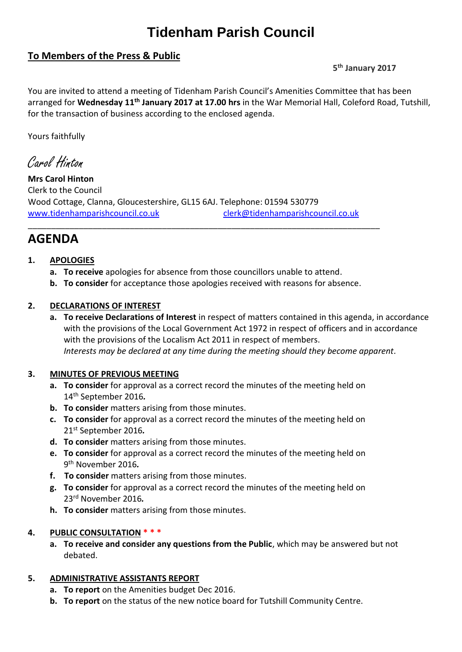# **Tidenham Parish Council**

### **To Members of the Press & Public**

#### **5 th January 2017**

You are invited to attend a meeting of Tidenham Parish Council's Amenities Committee that has been arranged for **Wednesday 11th January 2017 at 17.00 hrs** in the War Memorial Hall, Coleford Road, Tutshill, for the transaction of business according to the enclosed agenda.

Yours faithfully

Carol Hinton

**Mrs Carol Hinton** Clerk to the Council Wood Cottage, Clanna, Gloucestershire, GL15 6AJ. Telephone: 01594 530779 [www.tidenhamparishcouncil.co.uk](http://www.tidenhamparishcouncil.co.uk/) [clerk@tidenhamparishcouncil.co.uk](mailto:clerk@tidenhamparishcouncil.co.uk)

## **AGENDA**

#### **1. APOLOGIES**

- **a. To receive** apologies for absence from those councillors unable to attend.
- **b. To consider** for acceptance those apologies received with reasons for absence.

\_\_\_\_\_\_\_\_\_\_\_\_\_\_\_\_\_\_\_\_\_\_\_\_\_\_\_\_\_\_\_\_\_\_\_\_\_\_\_\_\_\_\_\_\_\_\_\_\_\_\_\_\_\_\_\_\_\_\_\_\_\_\_\_\_\_\_\_\_\_\_\_\_\_\_\_

#### **2. DECLARATIONS OF INTEREST**

**a. To receive Declarations of Interest** in respect of matters contained in this agenda, in accordance with the provisions of the Local Government Act 1972 in respect of officers and in accordance with the provisions of the Localism Act 2011 in respect of members. *Interests may be declared at any time during the meeting should they become apparent.*

#### **3. MINUTES OF PREVIOUS MEETING**

- **a. To consider** for approval as a correct record the minutes of the meeting held on 14th September 2016*.*
- **b. To consider** matters arising from those minutes.
- **c. To consider** for approval as a correct record the minutes of the meeting held on 21 st September 2016*.*
- **d. To consider** matters arising from those minutes.
- **e. To consider** for approval as a correct record the minutes of the meeting held on 9 th November 2016*.*
- **f. To consider** matters arising from those minutes.
- **g. To consider** for approval as a correct record the minutes of the meeting held on 23 rd November 2016*.*
- **h. To consider** matters arising from those minutes.

#### **4. PUBLIC CONSULTATION \* \* \***

**a. To receive and consider any questions from the Public**, which may be answered but not debated.

#### **5. ADMINISTRATIVE ASSISTANTS REPORT**

- **a. To report** on the Amenities budget Dec 2016.
- **b. To report** on the status of the new notice board for Tutshill Community Centre.